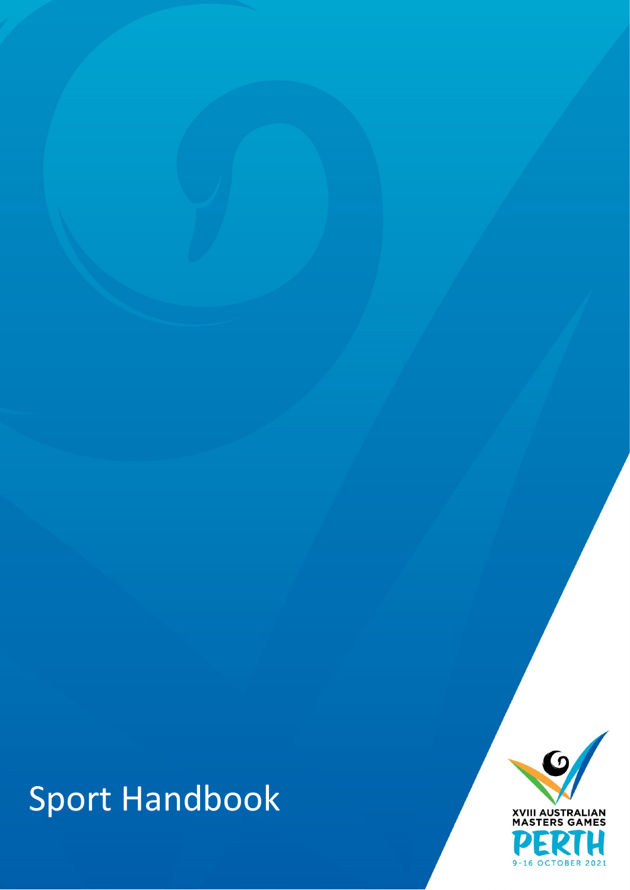

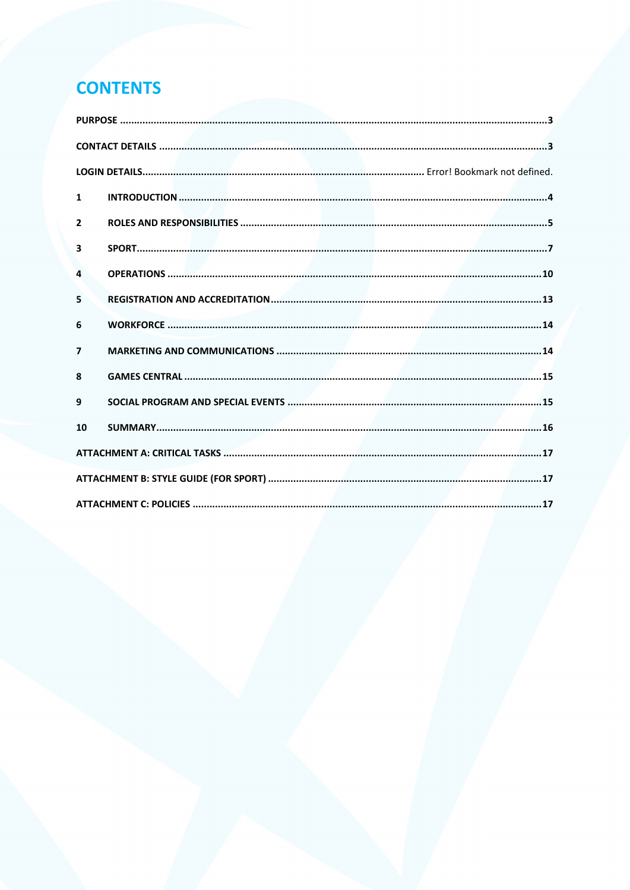# **CONTENTS**

| $\mathbf{1}$            |  |  |  |
|-------------------------|--|--|--|
| $\overline{2}$          |  |  |  |
| $\overline{\mathbf{3}}$ |  |  |  |
| 4                       |  |  |  |
| 5                       |  |  |  |
| 6                       |  |  |  |
| $\overline{\mathbf{z}}$ |  |  |  |
| 8                       |  |  |  |
| 9                       |  |  |  |
| 10                      |  |  |  |
|                         |  |  |  |
|                         |  |  |  |
|                         |  |  |  |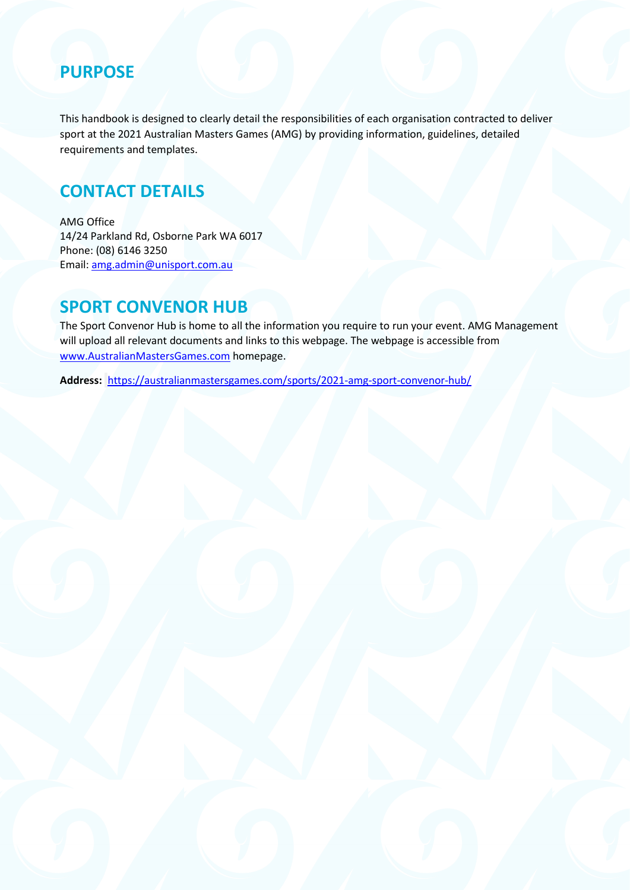### <span id="page-2-0"></span>**PURPOSE**

This handbook is designed to clearly detail the responsibilities of each organisation contracted to deliver sport at the 2021 Australian Masters Games (AMG) by providing information, guidelines, detailed requirements and templates.

## <span id="page-2-1"></span>**CONTACT DETAILS**

AMG Office 14/24 Parkland Rd, Osborne Park WA 6017 Phone: (08) 6146 3250 Email[: amg.admin@unisport.com.au](mailto:amg.admin@unisport.com.au)

### **SPORT CONVENOR HUB**

The Sport Convenor Hub is home to all the information you require to run your event. AMG Management will upload all relevant documents and links to this webpage. The webpage is accessible from [www.AustralianMastersGames.com](http://www.australianmastersgames.com/) homepage.

**Address:** <https://australianmastersgames.com/sports/2021-amg-sport-convenor-hub/>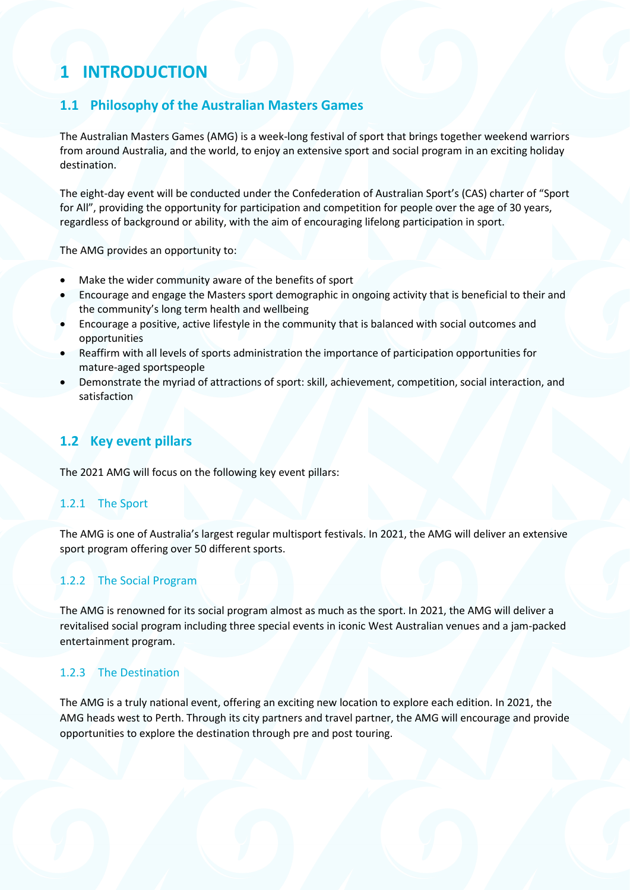## <span id="page-3-0"></span>**1 INTRODUCTION**

### **1.1 Philosophy of the Australian Masters Games**

The Australian Masters Games (AMG) is a week-long festival of sport that brings together weekend warriors from around Australia, and the world, to enjoy an extensive sport and social program in an exciting holiday destination.

The eight-day event will be conducted under the Confederation of Australian Sport's (CAS) charter of "Sport for All", providing the opportunity for participation and competition for people over the age of 30 years, regardless of background or ability, with the aim of encouraging lifelong participation in sport.

The AMG provides an opportunity to:

- Make the wider community aware of the benefits of sport
- Encourage and engage the Masters sport demographic in ongoing activity that is beneficial to their and the community's long term health and wellbeing
- Encourage a positive, active lifestyle in the community that is balanced with social outcomes and opportunities
- Reaffirm with all levels of sports administration the importance of participation opportunities for mature-aged sportspeople
- Demonstrate the myriad of attractions of sport: skill, achievement, competition, social interaction, and satisfaction

### **1.2 Key event pillars**

The 2021 AMG will focus on the following key event pillars:

#### 1.2.1 The Sport

The AMG is one of Australia's largest regular multisport festivals. In 2021, the AMG will deliver an extensive sport program offering over 50 different sports.

#### 1.2.2 The Social Program

The AMG is renowned for its social program almost as much as the sport. In 2021, the AMG will deliver a revitalised social program including three special events in iconic West Australian venues and a jam-packed entertainment program.

#### 1.2.3 The Destination

The AMG is a truly national event, offering an exciting new location to explore each edition. In 2021, the AMG heads west to Perth. Through its city partners and travel partner, the AMG will encourage and provide opportunities to explore the destination through pre and post touring.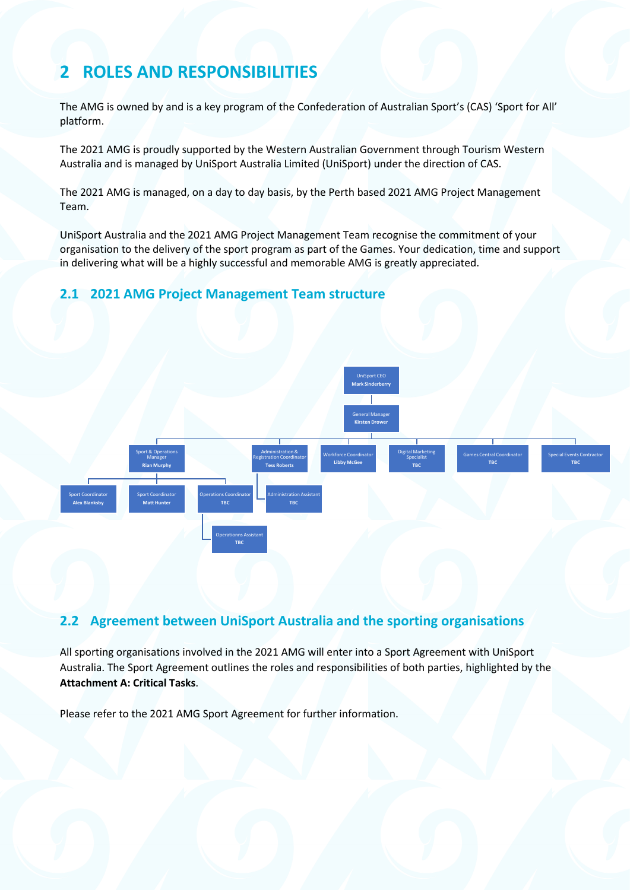## <span id="page-4-0"></span>**2 ROLES AND RESPONSIBILITIES**

The AMG is owned by and is a key program of the Confederation of Australian Sport's (CAS) 'Sport for All' platform.

The 2021 AMG is proudly supported by the Western Australian Government through Tourism Western Australia and is managed by UniSport Australia Limited (UniSport) under the direction of CAS.

The 2021 AMG is managed, on a day to day basis, by the Perth based 2021 AMG Project Management Team.

UniSport Australia and the 2021 AMG Project Management Team recognise the commitment of your organisation to the delivery of the sport program as part of the Games. Your dedication, time and support in delivering what will be a highly successful and memorable AMG is greatly appreciated.

#### **2.1 2021 AMG Project Management Team structure**



### **2.2 Agreement between UniSport Australia and the sporting organisations**

All sporting organisations involved in the 2021 AMG will enter into a Sport Agreement with UniSport Australia. The Sport Agreement outlines the roles and responsibilities of both parties, highlighted by the **Attachment A: Critical Tasks**.

Please refer to the 2021 AMG Sport Agreement for further information.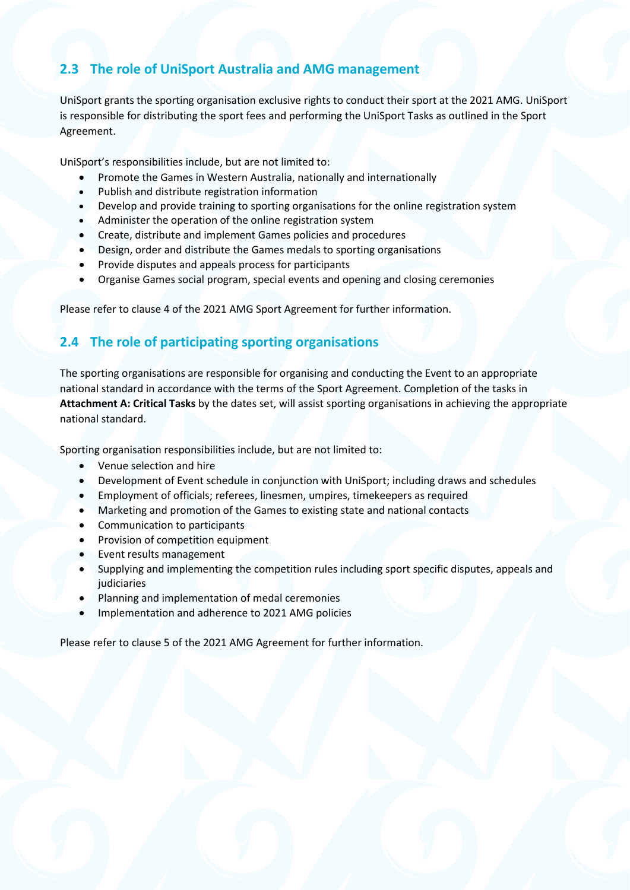### **2.3 The role of UniSport Australia and AMG management**

UniSport grants the sporting organisation exclusive rights to conduct their sport at the 2021 AMG. UniSport is responsible for distributing the sport fees and performing the UniSport Tasks as outlined in the Sport Agreement.

UniSport's responsibilities include, but are not limited to:

- Promote the Games in Western Australia, nationally and internationally
- Publish and distribute registration information
- Develop and provide training to sporting organisations for the online registration system
- Administer the operation of the online registration system
- Create, distribute and implement Games policies and procedures
- Design, order and distribute the Games medals to sporting organisations
- Provide disputes and appeals process for participants
- Organise Games social program, special events and opening and closing ceremonies

Please refer to clause 4 of the 2021 AMG Sport Agreement for further information.

### **2.4 The role of participating sporting organisations**

The sporting organisations are responsible for organising and conducting the Event to an appropriate national standard in accordance with the terms of the Sport Agreement. Completion of the tasks in **Attachment A: Critical Tasks** by the dates set, will assist sporting organisations in achieving the appropriate national standard.

Sporting organisation responsibilities include, but are not limited to:

- Venue selection and hire
- Development of Event schedule in conjunction with UniSport; including draws and schedules
- Employment of officials; referees, linesmen, umpires, timekeepers as required
- Marketing and promotion of the Games to existing state and national contacts
- Communication to participants
- Provision of competition equipment
- Event results management
- Supplying and implementing the competition rules including sport specific disputes, appeals and judiciaries
- Planning and implementation of medal ceremonies
- Implementation and adherence to 2021 AMG policies

Please refer to clause 5 of the 2021 AMG Agreement for further information.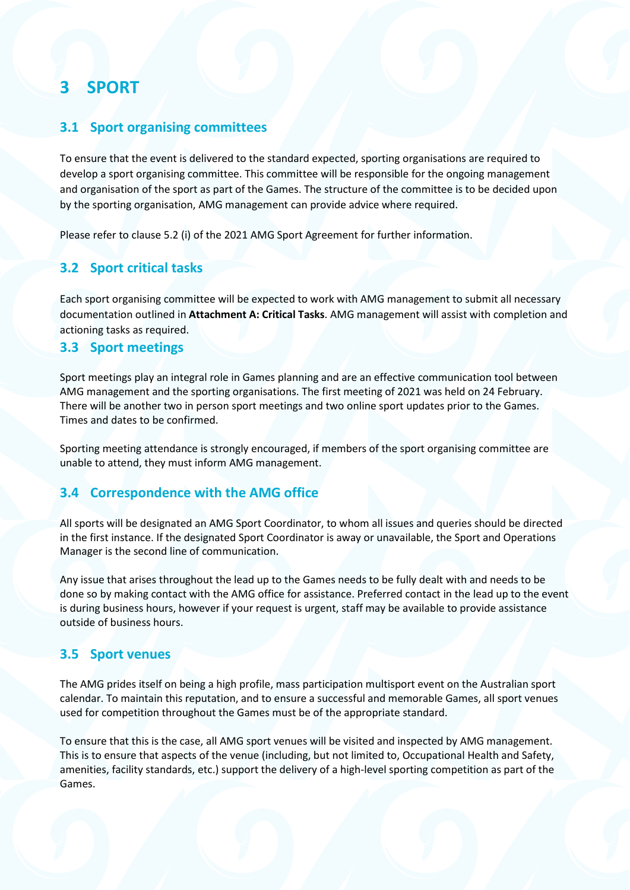## <span id="page-6-0"></span>**3 SPORT**

### **3.1 Sport organising committees**

To ensure that the event is delivered to the standard expected, sporting organisations are required to develop a sport organising committee. This committee will be responsible for the ongoing management and organisation of the sport as part of the Games. The structure of the committee is to be decided upon by the sporting organisation, AMG management can provide advice where required.

Please refer to clause 5.2 (i) of the 2021 AMG Sport Agreement for further information.

### **3.2 Sport critical tasks**

Each sport organising committee will be expected to work with AMG management to submit all necessary documentation outlined in **Attachment A: Critical Tasks**. AMG management will assist with completion and actioning tasks as required.

### **3.3 Sport meetings**

Sport meetings play an integral role in Games planning and are an effective communication tool between AMG management and the sporting organisations. The first meeting of 2021 was held on 24 February. There will be another two in person sport meetings and two online sport updates prior to the Games. Times and dates to be confirmed.

Sporting meeting attendance is strongly encouraged, if members of the sport organising committee are unable to attend, they must inform AMG management.

### **3.4 Correspondence with the AMG office**

All sports will be designated an AMG Sport Coordinator, to whom all issues and queries should be directed in the first instance. If the designated Sport Coordinator is away or unavailable, the Sport and Operations Manager is the second line of communication.

Any issue that arises throughout the lead up to the Games needs to be fully dealt with and needs to be done so by making contact with the AMG office for assistance. Preferred contact in the lead up to the event is during business hours, however if your request is urgent, staff may be available to provide assistance outside of business hours.

### **3.5 Sport venues**

The AMG prides itself on being a high profile, mass participation multisport event on the Australian sport calendar. To maintain this reputation, and to ensure a successful and memorable Games, all sport venues used for competition throughout the Games must be of the appropriate standard.

To ensure that this is the case, all AMG sport venues will be visited and inspected by AMG management. This is to ensure that aspects of the venue (including, but not limited to, Occupational Health and Safety, amenities, facility standards, etc.) support the delivery of a high-level sporting competition as part of the Games.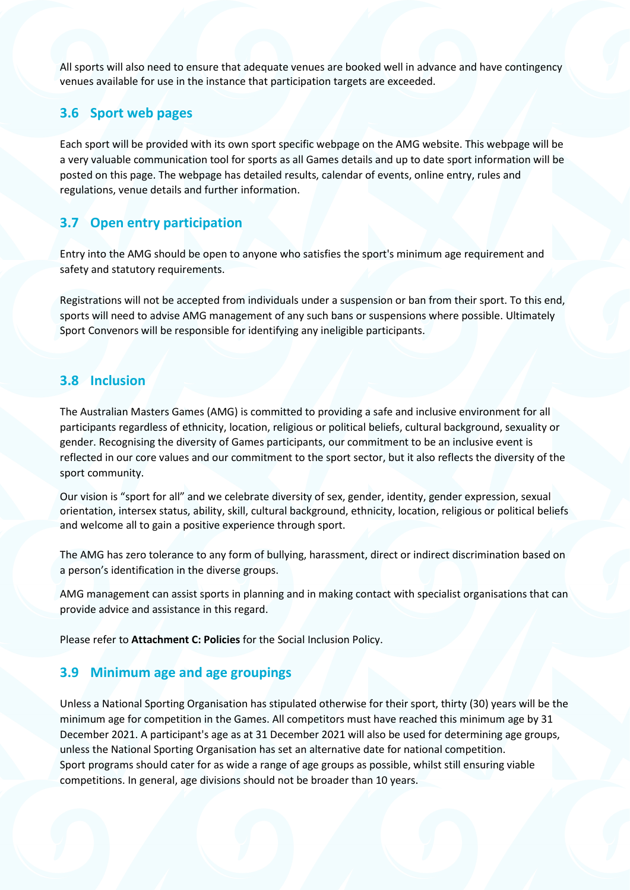All sports will also need to ensure that adequate venues are booked well in advance and have contingency venues available for use in the instance that participation targets are exceeded.

### **3.6 Sport web pages**

Each sport will be provided with its own sport specific webpage on the AMG website. This webpage will be a very valuable communication tool for sports as all Games details and up to date sport information will be posted on this page. The webpage has detailed results, calendar of events, online entry, rules and regulations, venue details and further information.

### **3.7 Open entry participation**

Entry into the AMG should be open to anyone who satisfies the sport's minimum age requirement and safety and statutory requirements.

Registrations will not be accepted from individuals under a suspension or ban from their sport. To this end, sports will need to advise AMG management of any such bans or suspensions where possible. Ultimately Sport Convenors will be responsible for identifying any ineligible participants.

### **3.8 Inclusion**

The Australian Masters Games (AMG) is committed to providing a safe and inclusive environment for all participants regardless of ethnicity, location, religious or political beliefs, cultural background, sexuality or gender. Recognising the diversity of Games participants, our commitment to be an inclusive event is reflected in our core values and our commitment to the sport sector, but it also reflects the diversity of the sport community.

Our vision is "sport for all" and we celebrate diversity of sex, gender, identity, gender expression, sexual orientation, intersex status, ability, skill, cultural background, ethnicity, location, religious or political beliefs and welcome all to gain a positive experience through sport.

The AMG has zero tolerance to any form of bullying, harassment, direct or indirect discrimination based on a person's identification in the diverse groups.

AMG management can assist sports in planning and in making contact with specialist organisations that can provide advice and assistance in this regard.

Please refer to **Attachment C: Policies** for the Social Inclusion Policy.

### **3.9 Minimum age and age groupings**

Unless a National Sporting Organisation has stipulated otherwise for their sport, thirty (30) years will be the minimum age for competition in the Games. All competitors must have reached this minimum age by 31 December 2021. A participant's age as at 31 December 2021 will also be used for determining age groups, unless the National Sporting Organisation has set an alternative date for national competition. Sport programs should cater for as wide a range of age groups as possible, whilst still ensuring viable competitions. In general, age divisions should not be broader than 10 years.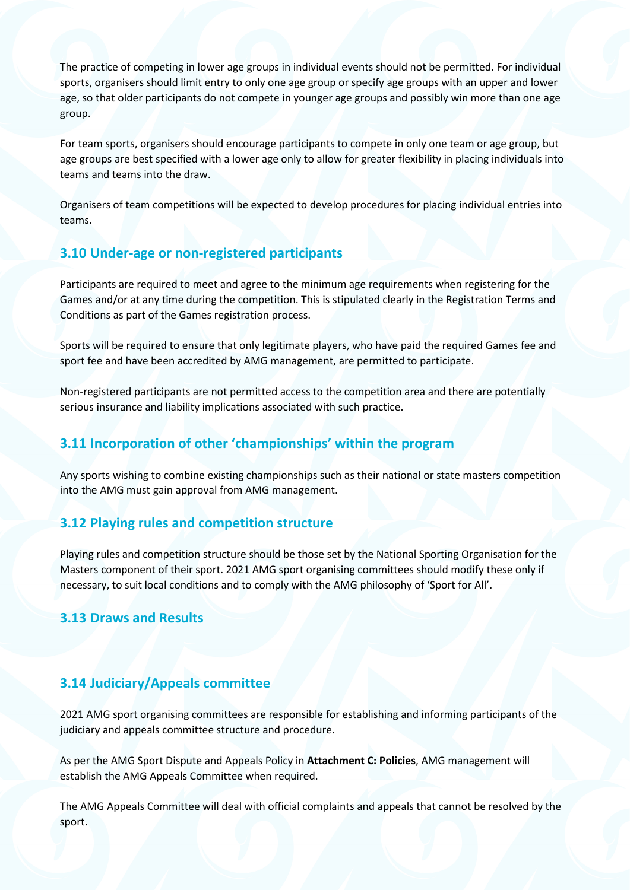The practice of competing in lower age groups in individual events should not be permitted. For individual sports, organisers should limit entry to only one age group or specify age groups with an upper and lower age, so that older participants do not compete in younger age groups and possibly win more than one age group.

For team sports, organisers should encourage participants to compete in only one team or age group, but age groups are best specified with a lower age only to allow for greater flexibility in placing individuals into teams and teams into the draw.

Organisers of team competitions will be expected to develop procedures for placing individual entries into teams.

### **3.10 Under-age or non-registered participants**

Participants are required to meet and agree to the minimum age requirements when registering for the Games and/or at any time during the competition. This is stipulated clearly in the Registration Terms and Conditions as part of the Games registration process.

Sports will be required to ensure that only legitimate players, who have paid the required Games fee and sport fee and have been accredited by AMG management, are permitted to participate.

Non-registered participants are not permitted access to the competition area and there are potentially serious insurance and liability implications associated with such practice.

### **3.11 Incorporation of other 'championships' within the program**

Any sports wishing to combine existing championships such as their national or state masters competition into the AMG must gain approval from AMG management.

### **3.12 Playing rules and competition structure**

Playing rules and competition structure should be those set by the National Sporting Organisation for the Masters component of their sport. 2021 AMG sport organising committees should modify these only if necessary, to suit local conditions and to comply with the AMG philosophy of 'Sport for All'.

### **3.13 Draws and Results**

### **3.14 Judiciary/Appeals committee**

2021 AMG sport organising committees are responsible for establishing and informing participants of the judiciary and appeals committee structure and procedure.

As per the AMG Sport Dispute and Appeals Policy in **Attachment C: Policies**, AMG management will establish the AMG Appeals Committee when required.

The AMG Appeals Committee will deal with official complaints and appeals that cannot be resolved by the sport.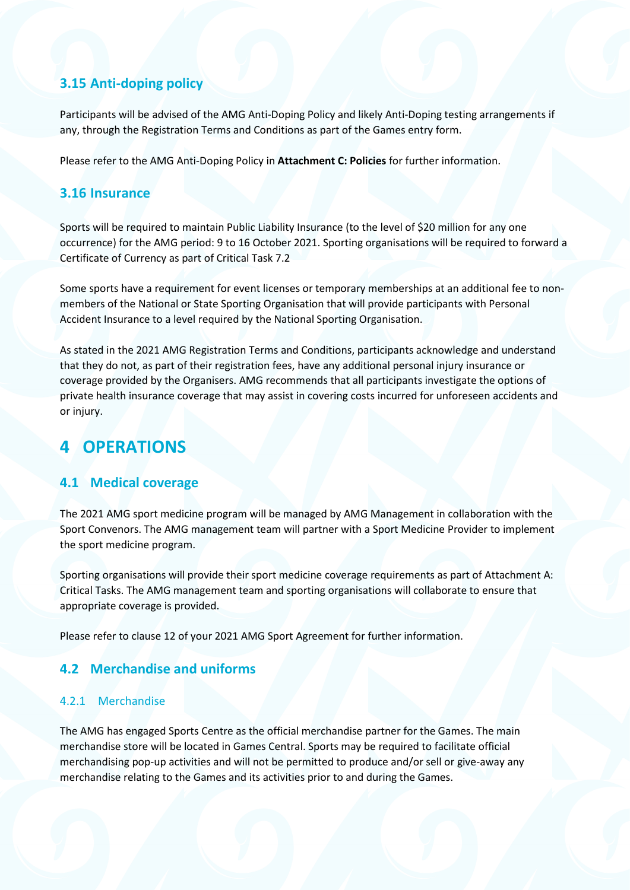### **3.15 Anti-doping policy**

Participants will be advised of the AMG Anti-Doping Policy and likely Anti-Doping testing arrangements if any, through the Registration Terms and Conditions as part of the Games entry form.

Please refer to the AMG Anti-Doping Policy in **Attachment C: Policies** for further information.

#### **3.16 Insurance**

Sports will be required to maintain Public Liability Insurance (to the level of \$20 million for any one occurrence) for the AMG period: 9 to 16 October 2021. Sporting organisations will be required to forward a Certificate of Currency as part of Critical Task 7.2

Some sports have a requirement for event licenses or temporary memberships at an additional fee to nonmembers of the National or State Sporting Organisation that will provide participants with Personal Accident Insurance to a level required by the National Sporting Organisation.

As stated in the 2021 AMG Registration Terms and Conditions, participants acknowledge and understand that they do not, as part of their registration fees, have any additional personal injury insurance or coverage provided by the Organisers. AMG recommends that all participants investigate the options of private health insurance coverage that may assist in covering costs incurred for unforeseen accidents and or injury.

## <span id="page-9-0"></span>**4 OPERATIONS**

### **4.1 Medical coverage**

The 2021 AMG sport medicine program will be managed by AMG Management in collaboration with the Sport Convenors. The AMG management team will partner with a Sport Medicine Provider to implement the sport medicine program.

Sporting organisations will provide their sport medicine coverage requirements as part of Attachment A: Critical Tasks. The AMG management team and sporting organisations will collaborate to ensure that appropriate coverage is provided.

Please refer to clause 12 of your 2021 AMG Sport Agreement for further information.

#### **4.2 Merchandise and uniforms**

#### 4.2.1 Merchandise

The AMG has engaged Sports Centre as the official merchandise partner for the Games. The main merchandise store will be located in Games Central. Sports may be required to facilitate official merchandising pop-up activities and will not be permitted to produce and/or sell or give-away any merchandise relating to the Games and its activities prior to and during the Games.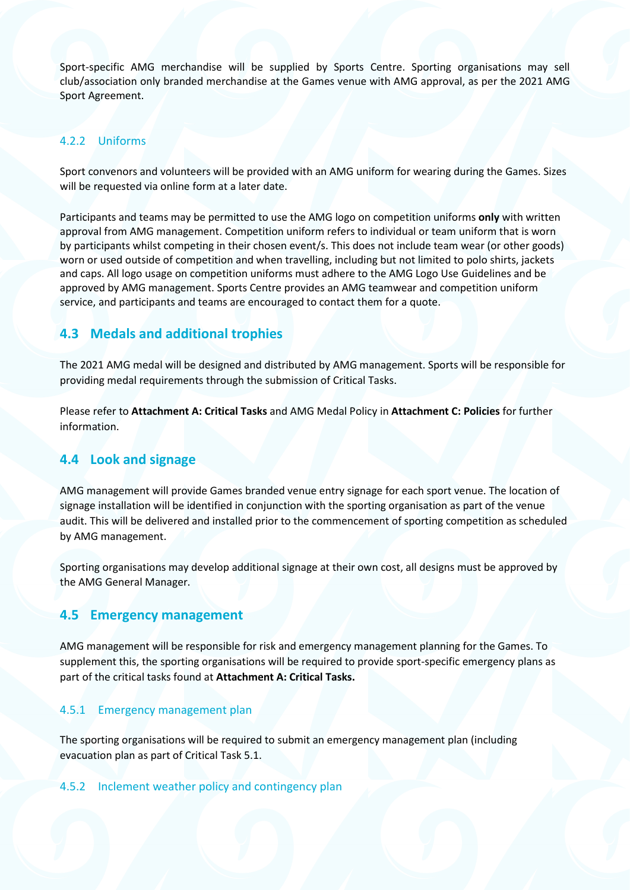Sport-specific AMG merchandise will be supplied by Sports Centre. Sporting organisations may sell club/association only branded merchandise at the Games venue with AMG approval, as per the 2021 AMG Sport Agreement.

#### 4.2.2 Uniforms

Sport convenors and volunteers will be provided with an AMG uniform for wearing during the Games. Sizes will be requested via online form at a later date.

Participants and teams may be permitted to use the AMG logo on competition uniforms **only** with written approval from AMG management. Competition uniform refers to individual or team uniform that is worn by participants whilst competing in their chosen event/s. This does not include team wear (or other goods) worn or used outside of competition and when travelling, including but not limited to polo shirts, jackets and caps. All logo usage on competition uniforms must adhere to the AMG Logo Use Guidelines and be approved by AMG management. Sports Centre provides an AMG teamwear and competition uniform service, and participants and teams are encouraged to contact them for a quote.

### **4.3 Medals and additional trophies**

The 2021 AMG medal will be designed and distributed by AMG management. Sports will be responsible for providing medal requirements through the submission of Critical Tasks.

Please refer to **Attachment A: Critical Tasks** and AMG Medal Policy in **Attachment C: Policies** for further information.

### **4.4 Look and signage**

AMG management will provide Games branded venue entry signage for each sport venue. The location of signage installation will be identified in conjunction with the sporting organisation as part of the venue audit. This will be delivered and installed prior to the commencement of sporting competition as scheduled by AMG management.

Sporting organisations may develop additional signage at their own cost, all designs must be approved by the AMG General Manager.

### **4.5 Emergency management**

AMG management will be responsible for risk and emergency management planning for the Games. To supplement this, the sporting organisations will be required to provide sport-specific emergency plans as part of the critical tasks found at **Attachment A: Critical Tasks.**

#### 4.5.1 Emergency management plan

The sporting organisations will be required to submit an emergency management plan (including evacuation plan as part of Critical Task 5.1.

#### 4.5.2 Inclement weather policy and contingency plan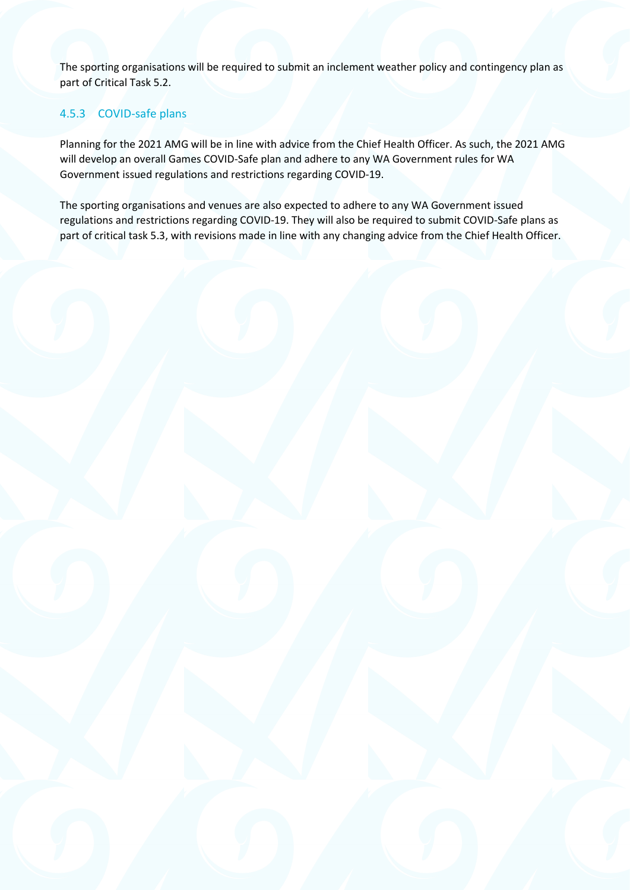The sporting organisations will be required to submit an inclement weather policy and contingency plan as part of Critical Task 5.2.

### 4.5.3 COVID-safe plans

Planning for the 2021 AMG will be in line with advice from the Chief Health Officer. As such, the 2021 AMG will develop an overall Games COVID-Safe plan and adhere to any WA Government rules for WA Government issued regulations and restrictions regarding COVID-19.

The sporting organisations and venues are also expected to adhere to any WA Government issued regulations and restrictions regarding COVID-19. They will also be required to submit COVID-Safe plans as part of critical task 5.3, with revisions made in line with any changing advice from the Chief Health Officer.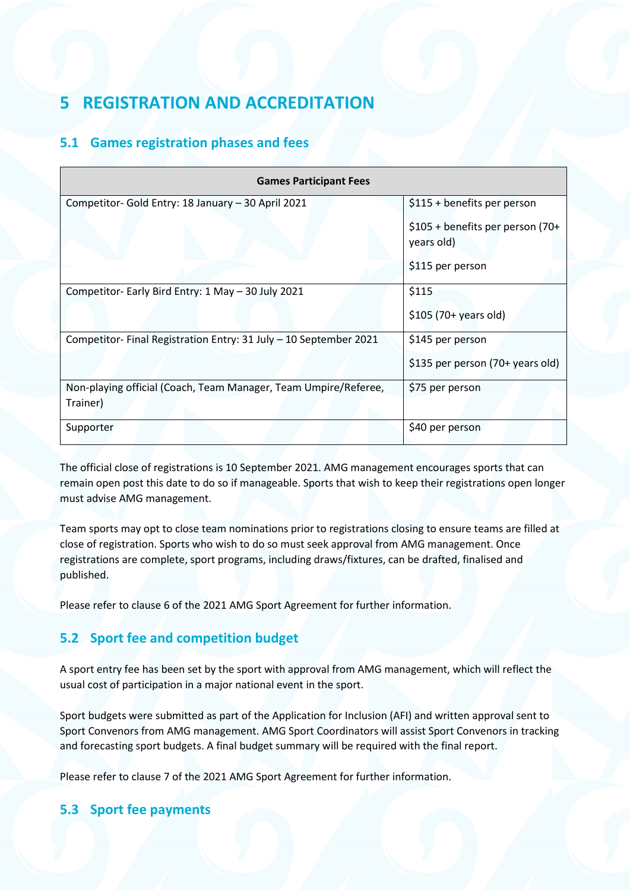## <span id="page-12-0"></span>**5 REGISTRATION AND ACCREDITATION**

### **5.1 Games registration phases and fees**

| <b>Games Participant Fees</b>                                    |                                                |  |  |
|------------------------------------------------------------------|------------------------------------------------|--|--|
| Competitor- Gold Entry: 18 January - 30 April 2021               | \$115 + benefits per person                    |  |  |
|                                                                  | \$105 + benefits per person (70+<br>years old) |  |  |
|                                                                  | \$115 per person                               |  |  |
| Competitor- Early Bird Entry: 1 May - 30 July 2021               | \$115                                          |  |  |
|                                                                  | $$105 (70+ years old)$                         |  |  |
| Competitor-Final Registration Entry: 31 July - 10 September 2021 | \$145 per person                               |  |  |
|                                                                  | \$135 per person (70+ years old)               |  |  |
| Non-playing official (Coach, Team Manager, Team Umpire/Referee,  | \$75 per person                                |  |  |
| Trainer)                                                         |                                                |  |  |
| Supporter                                                        | \$40 per person                                |  |  |

The official close of registrations is 10 September 2021. AMG management encourages sports that can remain open post this date to do so if manageable. Sports that wish to keep their registrations open longer must advise AMG management.

Team sports may opt to close team nominations prior to registrations closing to ensure teams are filled at close of registration. Sports who wish to do so must seek approval from AMG management. Once registrations are complete, sport programs, including draws/fixtures, can be drafted, finalised and published.

Please refer to clause 6 of the 2021 AMG Sport Agreement for further information.

### **5.2 Sport fee and competition budget**

A sport entry fee has been set by the sport with approval from AMG management, which will reflect the usual cost of participation in a major national event in the sport.

Sport budgets were submitted as part of the Application for Inclusion (AFI) and written approval sent to Sport Convenors from AMG management. AMG Sport Coordinators will assist Sport Convenors in tracking and forecasting sport budgets. A final budget summary will be required with the final report.

Please refer to clause 7 of the 2021 AMG Sport Agreement for further information.

### **5.3 Sport fee payments**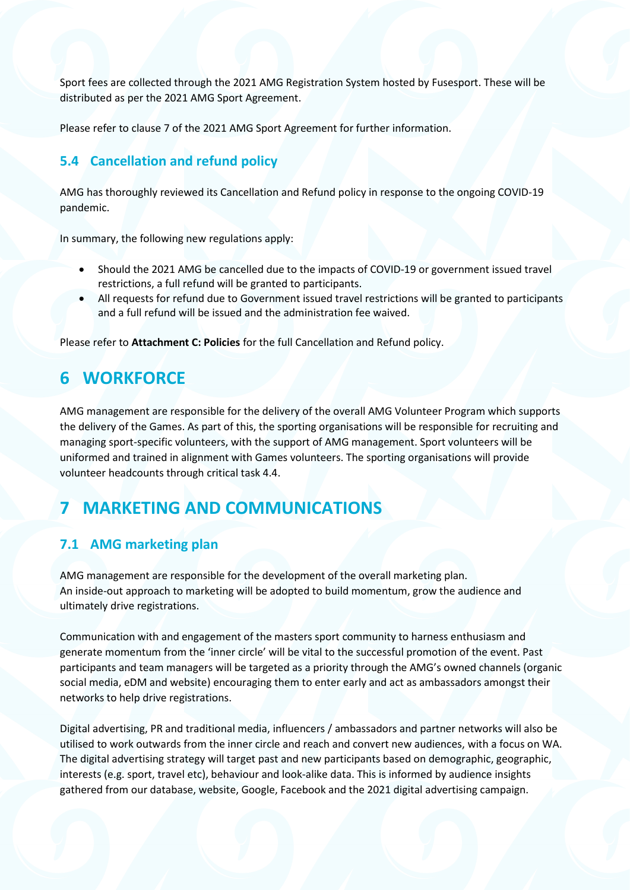Sport fees are collected through the 2021 AMG Registration System hosted by Fusesport. These will be distributed as per the 2021 AMG Sport Agreement.

Please refer to clause 7 of the 2021 AMG Sport Agreement for further information.

### **5.4 Cancellation and refund policy**

AMG has thoroughly reviewed its Cancellation and Refund policy in response to the ongoing COVID-19 pandemic.

In summary, the following new regulations apply:

- Should the 2021 AMG be cancelled due to the impacts of COVID-19 or government issued travel restrictions, a full refund will be granted to participants.
- All requests for refund due to Government issued travel restrictions will be granted to participants and a full refund will be issued and the administration fee waived.

Please refer to **Attachment C: Policies** for the full Cancellation and Refund policy.

## <span id="page-13-0"></span>**6 WORKFORCE**

AMG management are responsible for the delivery of the overall AMG Volunteer Program which supports the delivery of the Games. As part of this, the sporting organisations will be responsible for recruiting and managing sport-specific volunteers, with the support of AMG management. Sport volunteers will be uniformed and trained in alignment with Games volunteers. The sporting organisations will provide volunteer headcounts through critical task 4.4.

## <span id="page-13-1"></span>**7 MARKETING AND COMMUNICATIONS**

### **7.1 AMG marketing plan**

AMG management are responsible for the development of the overall marketing plan. An inside-out approach to marketing will be adopted to build momentum, grow the audience and ultimately drive registrations.

Communication with and engagement of the masters sport community to harness enthusiasm and generate momentum from the 'inner circle' will be vital to the successful promotion of the event. Past participants and team managers will be targeted as a priority through the AMG's owned channels (organic social media, eDM and website) encouraging them to enter early and act as ambassadors amongst their networks to help drive registrations.

Digital advertising, PR and traditional media, influencers / ambassadors and partner networks will also be utilised to work outwards from the inner circle and reach and convert new audiences, with a focus on WA. The digital advertising strategy will target past and new participants based on demographic, geographic, interests (e.g. sport, travel etc), behaviour and look-alike data. This is informed by audience insights gathered from our database, website, Google, Facebook and the 2021 digital advertising campaign.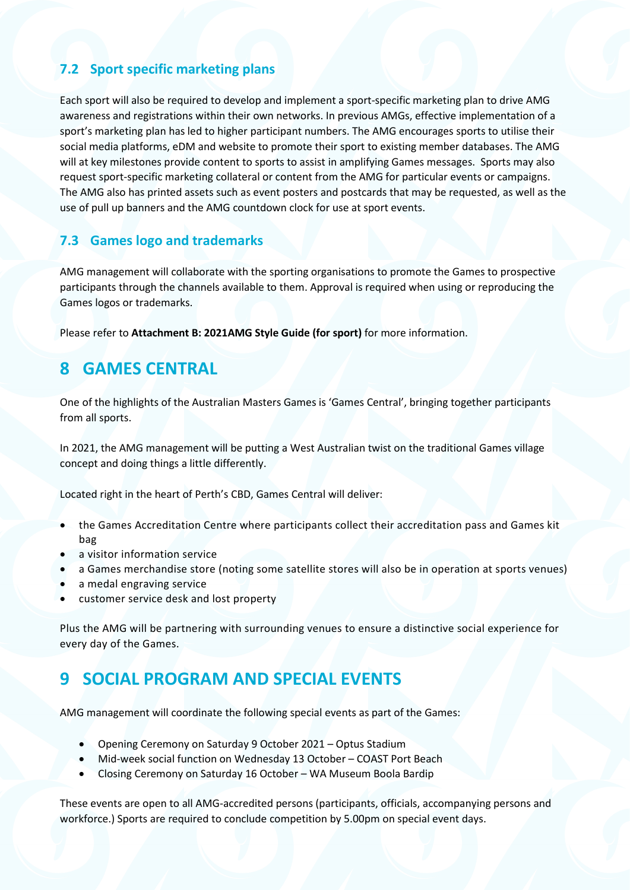### **7.2 Sport specific marketing plans**

Each sport will also be required to develop and implement a sport-specific marketing plan to drive AMG awareness and registrations within their own networks. In previous AMGs, effective implementation of a sport's marketing plan has led to higher participant numbers. The AMG encourages sports to utilise their social media platforms, eDM and website to promote their sport to existing member databases. The AMG will at key milestones provide content to sports to assist in amplifying Games messages. Sports may also request sport-specific marketing collateral or content from the AMG for particular events or campaigns. The AMG also has printed assets such as event posters and postcards that may be requested, as well as the use of pull up banners and the AMG countdown clock for use at sport events.

### **7.3 Games logo and trademarks**

AMG management will collaborate with the sporting organisations to promote the Games to prospective participants through the channels available to them. Approval is required when using or reproducing the Games logos or trademarks.

Please refer to **Attachment B: 2021AMG Style Guide (for sport)** for more information.

## <span id="page-14-0"></span>**8 GAMES CENTRAL**

One of the highlights of the Australian Masters Games is 'Games Central', bringing together participants from all sports.

In 2021, the AMG management will be putting a West Australian twist on the traditional Games village concept and doing things a little differently.

Located right in the heart of Perth's CBD, Games Central will deliver:

- the Games Accreditation Centre where participants collect their accreditation pass and Games kit bag
- a visitor information service
- a Games merchandise store (noting some satellite stores will also be in operation at sports venues)
- a medal engraving service
- customer service desk and lost property

Plus the AMG will be partnering with surrounding venues to ensure a distinctive social experience for every day of the Games.

## <span id="page-14-1"></span>**9 SOCIAL PROGRAM AND SPECIAL EVENTS**

AMG management will coordinate the following special events as part of the Games:

- Opening Ceremony on Saturday 9 October 2021 Optus Stadium
- Mid-week social function on Wednesday 13 October COAST Port Beach
- Closing Ceremony on Saturday 16 October WA Museum Boola Bardip

These events are open to all AMG-accredited persons (participants, officials, accompanying persons and workforce.) Sports are required to conclude competition by 5.00pm on special event days.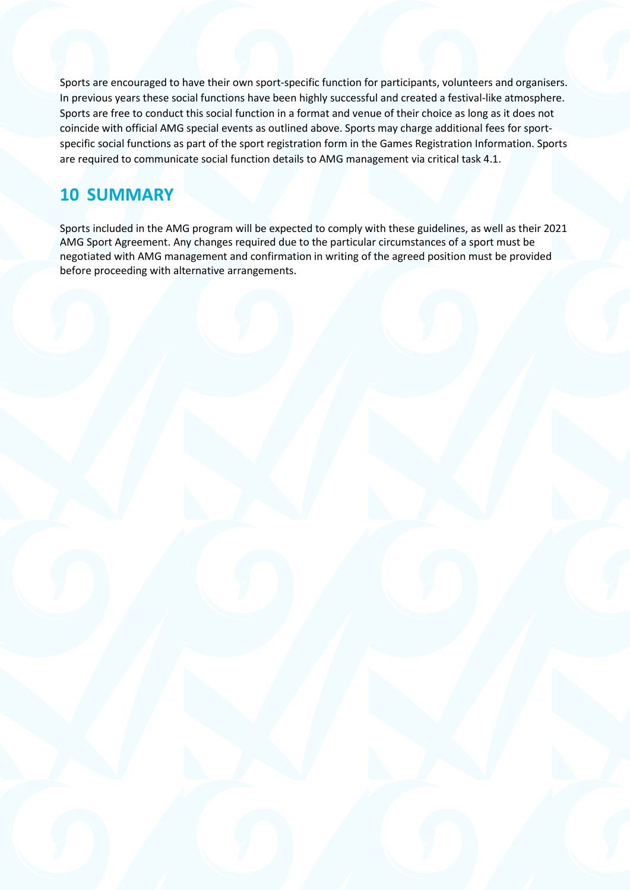Sports are encouraged to have their own sport-specific function for participants, volunteers and organisers. In previous years these social functions have been highly successful and created a festival-like atmosphere. Sports are free to conduct this social function in a format and venue of their choice as long as it does not coincide with official AMG special events as outlined above. Sports may charge additional fees for sportspecific social functions as part of the sport registration form in the Games Registration Information. Sports are required to communicate social function details to AMG management via critical task 4.1.

## <span id="page-15-0"></span>**10 SUMMARY**

Sports included in the AMG program will be expected to comply with these guidelines, as well as their 2021 AMG Sport Agreement. Any changes required due to the particular circumstances of a sport must be negotiated with AMG management and confirmation in writing of the agreed position must be provided before proceeding with alternative arrangements.